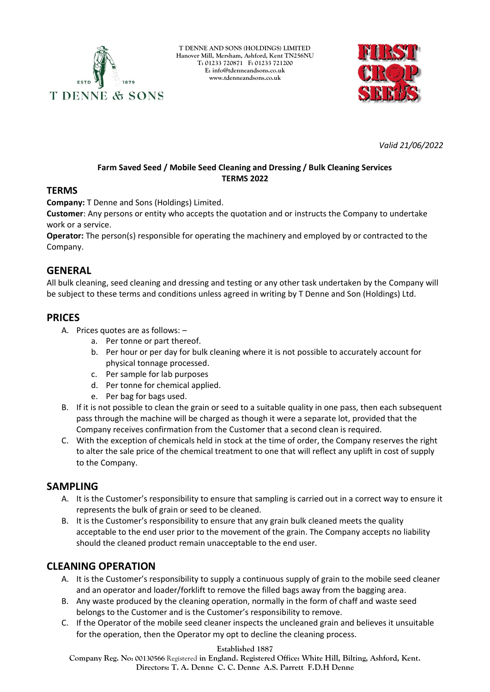

**T DENNE AND SONS (HOLDINGS) LIMITED Hanover Mill, Mersham, Ashford, Kent TN256NU T: 01233 720871 F: 01233 721200 E: [info@tdenneandsons.co.uk](mailto:info@tdenneandsons.co.uk) www.tdenneandsons.co.uk**



*Valid 21/06/2022*

## **Farm Saved Seed / Mobile Seed Cleaning and Dressing / Bulk Cleaning Services TERMS 2022**

### **TERMS**

**Company:** T Denne and Sons (Holdings) Limited.

**Customer**: Any persons or entity who accepts the quotation and or instructs the Company to undertake work or a service.

**Operator:** The person(s) responsible for operating the machinery and employed by or contracted to the Company.

## **GENERAL**

All bulk cleaning, seed cleaning and dressing and testing or any other task undertaken by the Company will be subject to these terms and conditions unless agreed in writing by T Denne and Son (Holdings) Ltd.

### **PRICES**

- A. Prices quotes are as follows:
	- a. Per tonne or part thereof.
	- b. Per hour or per day for bulk cleaning where it is not possible to accurately account for physical tonnage processed.
	- c. Per sample for lab purposes
	- d. Per tonne for chemical applied.
	- e. Per bag for bags used.
- B. If it is not possible to clean the grain or seed to a suitable quality in one pass, then each subsequent pass through the machine will be charged as though it were a separate lot, provided that the Company receives confirmation from the Customer that a second clean is required.
- C. With the exception of chemicals held in stock at the time of order, the Company reserves the right to alter the sale price of the chemical treatment to one that will reflect any uplift in cost of supply to the Company.

# **SAMPLING**

- A. It is the Customer's responsibility to ensure that sampling is carried out in a correct way to ensure it represents the bulk of grain or seed to be cleaned.
- B. It is the Customer's responsibility to ensure that any grain bulk cleaned meets the quality acceptable to the end user prior to the movement of the grain. The Company accepts no liability should the cleaned product remain unacceptable to the end user.

# **CLEANING OPERATION**

- A. It is the Customer's responsibility to supply a continuous supply of grain to the mobile seed cleaner and an operator and loader/forklift to remove the filled bags away from the bagging area.
- B. Any waste produced by the cleaning operation, normally in the form of chaff and waste seed belongs to the Customer and is the Customer's responsibility to remove.
- C. If the Operator of the mobile seed cleaner inspects the uncleaned grain and believes it unsuitable for the operation, then the Operator my opt to decline the cleaning process.

#### **Established 1887**

**Company Reg. No: 00130566** Registered **in England. Registered Office: White Hill, Bilting, Ashford, Kent. Directors: T. A. Denne C. C. Denne A.S. Parrett F.D.H Denne**